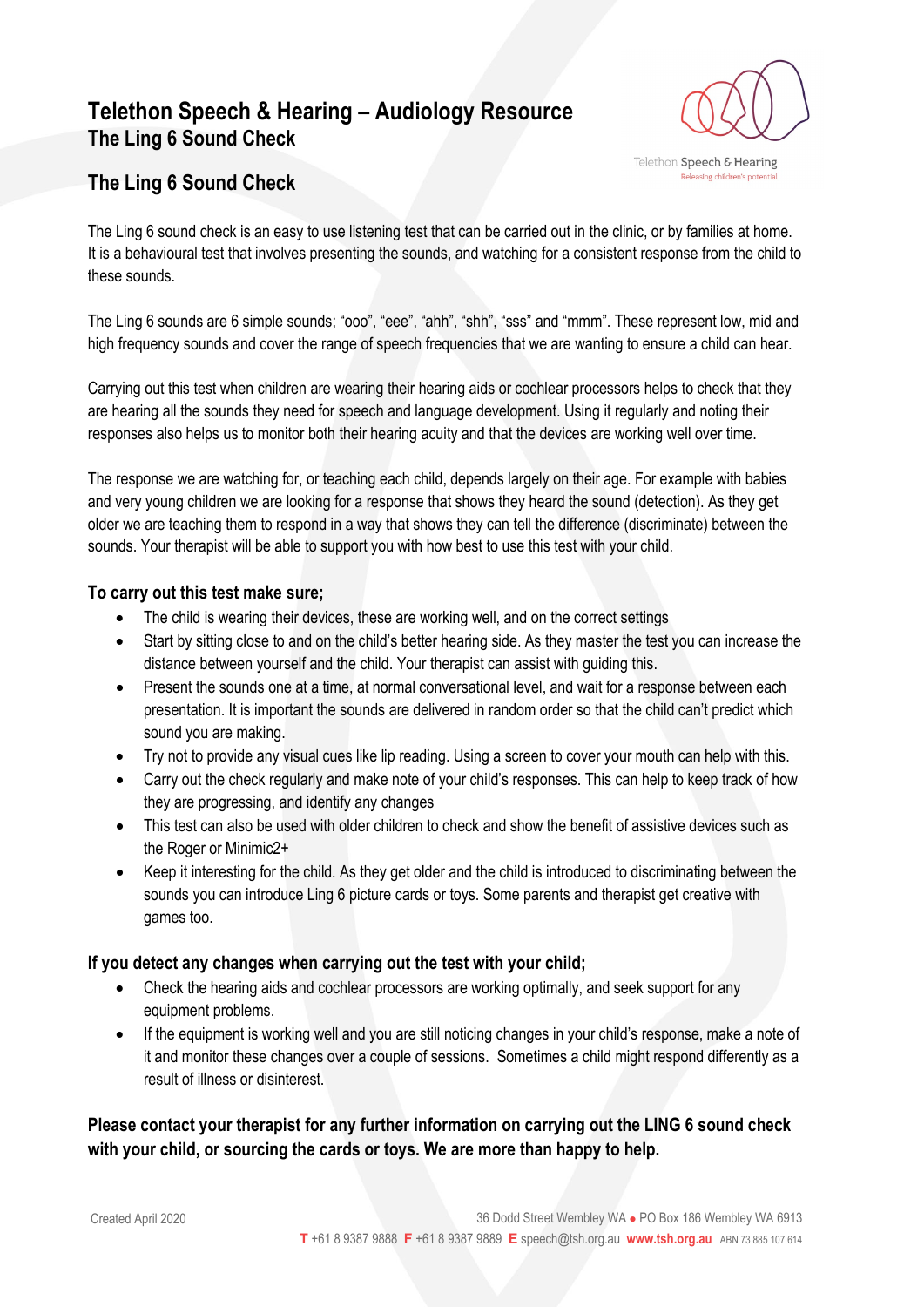## **Telethon Speech & Hearing – Audiology Resource The Ling 6 Sound Check**



### **The Ling 6 Sound Check**

The Ling 6 sound check is an easy to use listening test that can be carried out in the clinic, or by families at home. It is a behavioural test that involves presenting the sounds, and watching for a consistent response from the child to these sounds.

The Ling 6 sounds are 6 simple sounds; "ooo", "eee", "ahh", "shh", "sss" and "mmm". These represent low, mid and high frequency sounds and cover the range of speech frequencies that we are wanting to ensure a child can hear.

Carrying out this test when children are wearing their hearing aids or cochlear processors helps to check that they are hearing all the sounds they need for speech and language development. Using it regularly and noting their responses also helps us to monitor both their hearing acuity and that the devices are working well over time.

The response we are watching for, or teaching each child, depends largely on their age. For example with babies and very young children we are looking for a response that shows they heard the sound (detection). As they get older we are teaching them to respond in a way that shows they can tell the difference (discriminate) between the sounds. Your therapist will be able to support you with how best to use this test with your child.

#### **To carry out this test make sure;**

- The child is wearing their devices, these are working well, and on the correct settings
- Start by sitting close to and on the child's better hearing side. As they master the test you can increase the distance between yourself and the child. Your therapist can assist with guiding this.
- Present the sounds one at a time, at normal conversational level, and wait for a response between each presentation. It is important the sounds are delivered in random order so that the child can't predict which sound you are making.
- Try not to provide any visual cues like lip reading. Using a screen to cover your mouth can help with this.
- Carry out the check regularly and make note of your child's responses. This can help to keep track of how they are progressing, and identify any changes
- This test can also be used with older children to check and show the benefit of assistive devices such as the Roger or Minimic2+
- Keep it interesting for the child. As they get older and the child is introduced to discriminating between the sounds you can introduce Ling 6 picture cards or toys. Some parents and therapist get creative with games too.

#### **If you detect any changes when carrying out the test with your child;**

- Check the hearing aids and cochlear processors are working optimally, and seek support for any equipment problems.
- If the equipment is working well and you are still noticing changes in your child's response, make a note of it and monitor these changes over a couple of sessions. Sometimes a child might respond differently as a result of illness or disinterest.

#### **Please contact your therapist for any further information on carrying out the LING 6 sound check with your child, or sourcing the cards or toys. We are more than happy to help.**